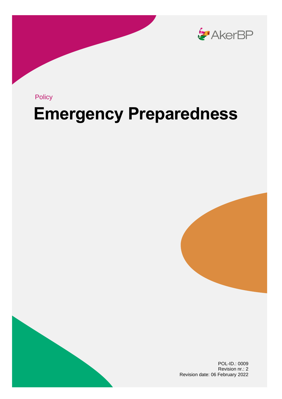

Policy

## **Emergency Preparedness**





POL-ID.: 0009 Revision nr.: 2 Revision date: 06 February 2022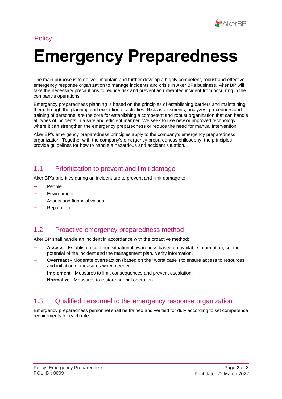

#### **Policy**

# **Emergency Preparedness**

The main purpose is to deliver, maintain and further develop a highly competent, robust and effective emergency response organization to manage incidents and crisis in Aker BPs business. Aker BP will take the necessary precautions to reduce risk and prevent an unwanted incident from occurring in the company's operations.

Emergency preparedness planning is based on the principles of establishing barriers and maintaining them through the planning and execution of activities. Risk assessments, analyzes, procedures and training of personnel are the core for establishing a competent and robust organization that can handle all types of incidents in a safe and efficient manner. We seek to use new or improved technology where it can strengthen the emergency preparedness or reduce the need for manual intervention.

Aker BP's emergency preparedness principles apply to the company's emergency preparedness organization. Together with the company's emergency preparedness philosophy, the principles provide guidelines for how to handle a hazardous and accident situation.

## 1.1 Prioritization to prevent and limit damage

Aker BP's priorities during an incident are to prevent and limit damage to:

- People
- **Environment**
- Assets and financial values
- **Reputation**

#### 1.2 Proactive emergency preparedness method

Aker BP shall handle an incident in accordance with the proactive method:

- **Assess** Establish a common situational awareness based on available information, set the potential of the incident and the management plan. Verify information.
- **Overreact**  Moderate overreaction (based on the "worst case") to ensure access to resources and initiation of measures when needed.
- Implement Measures to limit consequences and prevent escalation.
- **Normalize**  Measures to restore normal operation.

#### 1.3 Qualified personnel to the emergency response organization

Emergency preparedness personnel shall be trained and verified for duty according to set competence requirements for each role.